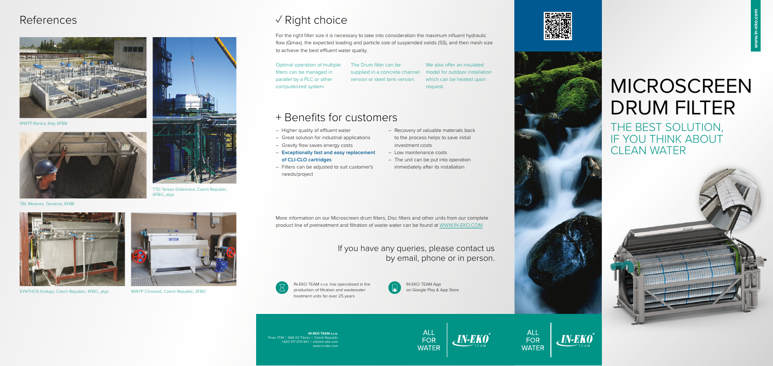# MICROSCREEN DRUM FILTER

THE BEST SOLUTION, IF YOU THINK ABOUT CLEAN WATER











For the right filter size it is necessary to take into consideration the maximum influent hydraulic flow (Qmax), the expected loading and particle size of suspended solids (SS), and then mesh size to achieve the best effluent water quality.

> We also offer an insulated which can be heated upon request.

Optimal operation of multiple filters can be managed in parallel by a PLC or other computerized system.

The Drum filter can be supplied in a concrete channel model for outdoor installation version or steel tank version.

More information on our Microscreen drum filters, Disc filters and other units from our complete product line of pretreatment and filtration of waste water can be found at WWW.IN-EKO.COM.

### If you have any queries, please contact us by email, phone or in person.



## + Benefits for customers

- Higher quality of effluent water
- Great solution for industrial applications
- Gravity flow saves energy costs
- **Exceptionally fast and easy replacement of CLI-CLO cartridges**
- Filters can be adjusted to suit customer's needs/project
- Recovery of valuable materials back to the process helps to save initial investment costs
- Low maintenance costs
- The unit can be put into operation immediately after its installation





TTD Tereos Dobrovice, Czech Republic, 6FBO\_atyp

TBL Mwanza, Tanzania, 6FBB



SYNTHOS Kralupy, Czech Republic, 4FBO\_atyp



WWTP Chromeč, Czech Republic, 2FBO

## References √ Right choice



WWTP Ranica, Italy, 6FBB



**IN-EKO TEAM s.r.o.**  Trnec 1734 | 666 03 Tišnov | Czech Republi +420 517 070 601 | info@in-eko.com www.in-eko.com

IN-EKO TEAM App on Google Play & App Store





IN-EKO TEAM s.r.o. has specialized in the production of filtration and wastewater treatment units for over 25 years